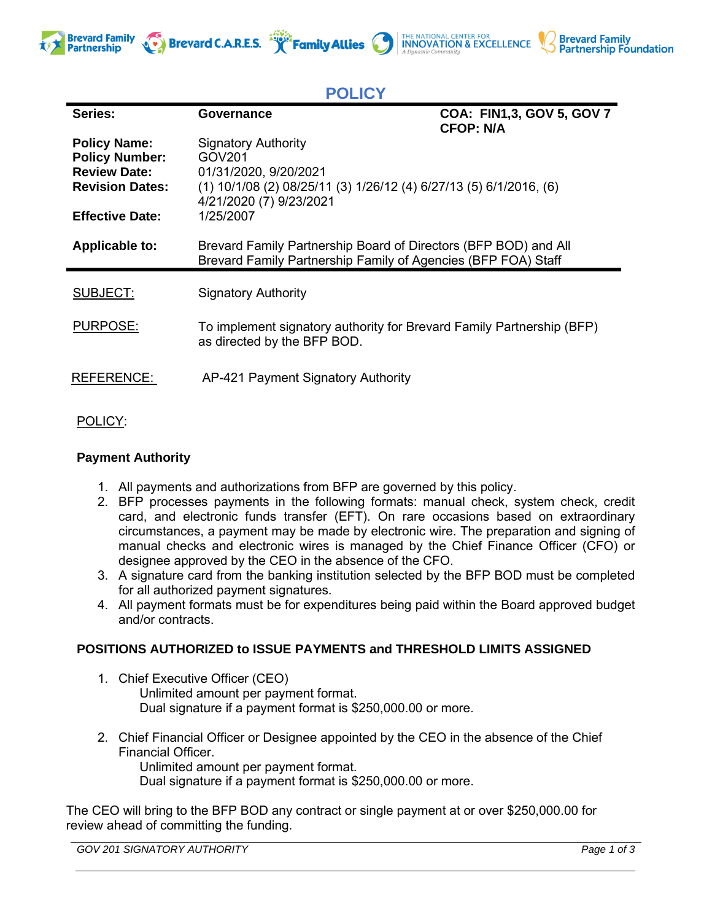

| PULIU 1                                                                                       |                                                                                                                                                                  |                                               |
|-----------------------------------------------------------------------------------------------|------------------------------------------------------------------------------------------------------------------------------------------------------------------|-----------------------------------------------|
| Series:                                                                                       | Governance                                                                                                                                                       | COA: FIN1,3, GOV 5, GOV 7<br><b>CFOP: N/A</b> |
| <b>Policy Name:</b><br><b>Policy Number:</b><br><b>Review Date:</b><br><b>Revision Dates:</b> | <b>Signatory Authority</b><br>GOV201<br>01/31/2020, 9/20/2021<br>$(1)$ 10/1/08 (2) 08/25/11 (3) 1/26/12 (4) 6/27/13 (5) 6/1/2016, (6)<br>4/21/2020 (7) 9/23/2021 |                                               |
| <b>Effective Date:</b>                                                                        | 1/25/2007                                                                                                                                                        |                                               |
| <b>Applicable to:</b>                                                                         | Brevard Family Partnership Board of Directors (BFP BOD) and All<br>Brevard Family Partnership Family of Agencies (BFP FOA) Staff                                 |                                               |
| SUBJECT:                                                                                      | <b>Signatory Authority</b>                                                                                                                                       |                                               |
| <b>PURPOSE:</b>                                                                               | To implement signatory authority for Brevard Family Partnership (BFP)<br>as directed by the BFP BOD.                                                             |                                               |
| <b>REFERENCE:</b>                                                                             | AP-421 Payment Signatory Authority                                                                                                                               |                                               |

**POLICY**

**Brevard C.A.R.E.S. Family Allies CREATIONAL CENTER FOR ARTICAL CENTER FOR SEXCELLENCE** 

## POLICY:

## **Payment Authority**

- 1. All payments and authorizations from BFP are governed by this policy.
- 2. BFP processes payments in the following formats: manual check, system check, credit card, and electronic funds transfer (EFT). On rare occasions based on extraordinary circumstances, a payment may be made by electronic wire. The preparation and signing of manual checks and electronic wires is managed by the Chief Finance Officer (CFO) or designee approved by the CEO in the absence of the CFO.
- 3. A signature card from the banking institution selected by the BFP BOD must be completed for all authorized payment signatures.
- 4. All payment formats must be for expenditures being paid within the Board approved budget and/or contracts.

## **POSITIONS AUTHORIZED to ISSUE PAYMENTS and THRESHOLD LIMITS ASSIGNED**

- 1. Chief Executive Officer (CEO) Unlimited amount per payment format. Dual signature if a payment format is \$250,000.00 or more.
- 2. Chief Financial Officer or Designee appointed by the CEO in the absence of the Chief Financial Officer.

Unlimited amount per payment format. Dual signature if a payment format is \$250,000.00 or more.

The CEO will bring to the BFP BOD any contract or single payment at or over \$250,000.00 for review ahead of committing the funding.

*GOV 201 SIGNATORY AUTHORITY Page 1 of 3*

**Brevard Family<br>Partnership Foundation**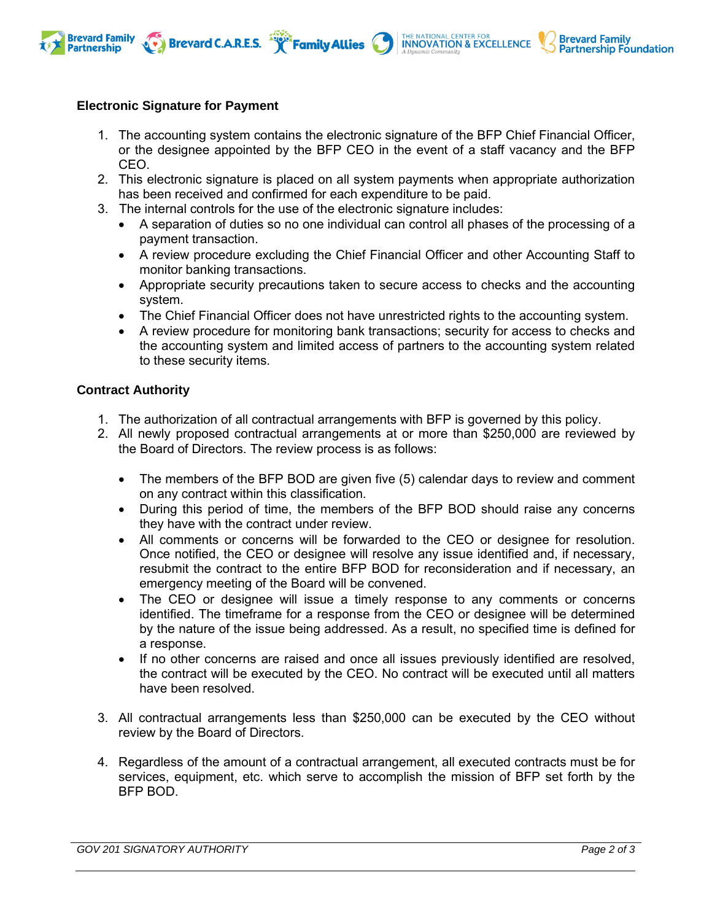



**Brevard Family** 

**Partnership** 

- 1. The accounting system contains the electronic signature of the BFP Chief Financial Officer, or the designee appointed by the BFP CEO in the event of a staff vacancy and the BFP CEO.
- 2. This electronic signature is placed on all system payments when appropriate authorization has been received and confirmed for each expenditure to be paid.
- 3. The internal controls for the use of the electronic signature includes:

Brevard C.A.R.E.S. **Framily Allies** 

- A separation of duties so no one individual can control all phases of the processing of a payment transaction.
- A review procedure excluding the Chief Financial Officer and other Accounting Staff to monitor banking transactions.
- Appropriate security precautions taken to secure access to checks and the accounting system.
- The Chief Financial Officer does not have unrestricted rights to the accounting system.
- A review procedure for monitoring bank transactions; security for access to checks and the accounting system and limited access of partners to the accounting system related to these security items.

## **Contract Authority**

- 1. The authorization of all contractual arrangements with BFP is governed by this policy.
- 2. All newly proposed contractual arrangements at or more than \$250,000 are reviewed by the Board of Directors. The review process is as follows:
	- The members of the BFP BOD are given five (5) calendar days to review and comment on any contract within this classification.
	- During this period of time, the members of the BFP BOD should raise any concerns they have with the contract under review.
	- All comments or concerns will be forwarded to the CEO or designee for resolution. Once notified, the CEO or designee will resolve any issue identified and, if necessary, resubmit the contract to the entire BFP BOD for reconsideration and if necessary, an emergency meeting of the Board will be convened.
	- The CEO or designee will issue a timely response to any comments or concerns identified. The timeframe for a response from the CEO or designee will be determined by the nature of the issue being addressed. As a result, no specified time is defined for a response.
	- If no other concerns are raised and once all issues previously identified are resolved, the contract will be executed by the CEO. No contract will be executed until all matters have been resolved.
- 3. All contractual arrangements less than \$250,000 can be executed by the CEO without review by the Board of Directors.
- 4. Regardless of the amount of a contractual arrangement, all executed contracts must be for services, equipment, etc. which serve to accomplish the mission of BFP set forth by the BFP BOD.